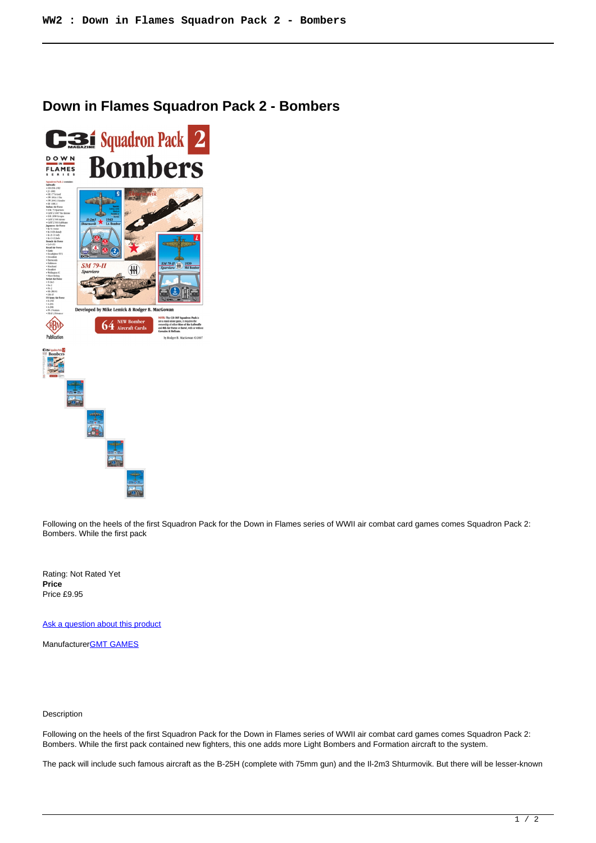## **Down in Flames Squadron Pack 2 - Bombers**



Following on the heels of the first Squadron Pack for the Down in Flames series of WWII air combat card games comes Squadron Pack 2: Bombers. While the first pack

Rating: Not Rated Yet **Price**  Price £9.95

[Ask a question about this product](https://www.secondchancegames.com/index.php?option=com_virtuemart&view=productdetails&task=askquestion&virtuemart_product_id=7935&virtuemart_category_id=5&tmpl=component)

Manufacturer[GMT GAMES](https://www.secondchancegames.com/index.php?option=com_virtuemart&view=manufacturer&virtuemart_manufacturer_id=2519&tmpl=component)

## Description

Following on the heels of the first Squadron Pack for the Down in Flames series of WWII air combat card games comes Squadron Pack 2: Bombers. While the first pack contained new fighters, this one adds more Light Bombers and Formation aircraft to the system.

The pack will include such famous aircraft as the B-25H (complete with 75mm gun) and the Il-2m3 Shturmovik. But there will be lesser-known